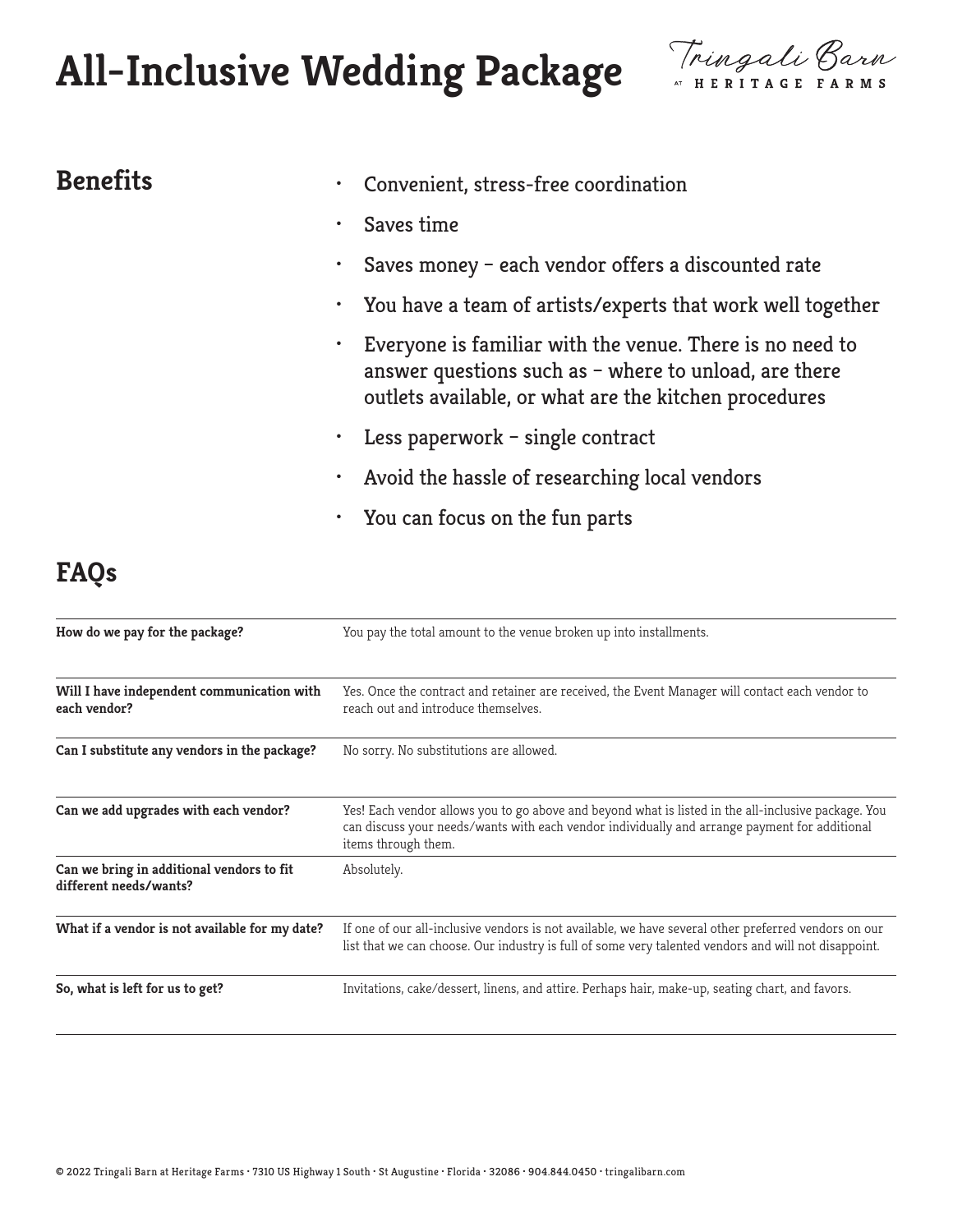# **All-Inclusive Wedding Package**



- **Benefits •** Convenient, stress-free coordination
	- Saves time
	- Saves money each vendor offers a discounted rate
	- You have a team of artists/experts that work well together
	- Everyone is familiar with the venue. There is no need to answer questions such as – where to unload, are there outlets available, or what are the kitchen procedures
	- Less paperwork single contract
	- Avoid the hassle of researching local vendors
	- You can focus on the fun parts

### **FAQs**

| How do we pay for the package?                                      | You pay the total amount to the venue broken up into installments.                                                                                                                                                          |
|---------------------------------------------------------------------|-----------------------------------------------------------------------------------------------------------------------------------------------------------------------------------------------------------------------------|
| Will I have independent communication with<br>each vendor?          | Yes. Once the contract and retainer are received, the Event Manager will contact each vendor to<br>reach out and introduce themselves.                                                                                      |
| Can I substitute any vendors in the package?                        | No sorry. No substitutions are allowed.                                                                                                                                                                                     |
| Can we add upgrades with each vendor?                               | Yes! Each vendor allows you to go above and beyond what is listed in the all-inclusive package. You<br>can discuss your needs/wants with each vendor individually and arrange payment for additional<br>items through them. |
| Can we bring in additional vendors to fit<br>different needs/wants? | Absolutely.                                                                                                                                                                                                                 |
| What if a vendor is not available for my date?                      | If one of our all-inclusive vendors is not available, we have several other preferred vendors on our<br>list that we can choose. Our industry is full of some very talented vendors and will not disappoint.                |
| So, what is left for us to get?                                     | Invitations, cake/dessert, linens, and attire. Perhaps hair, make-up, seating chart, and favors.                                                                                                                            |